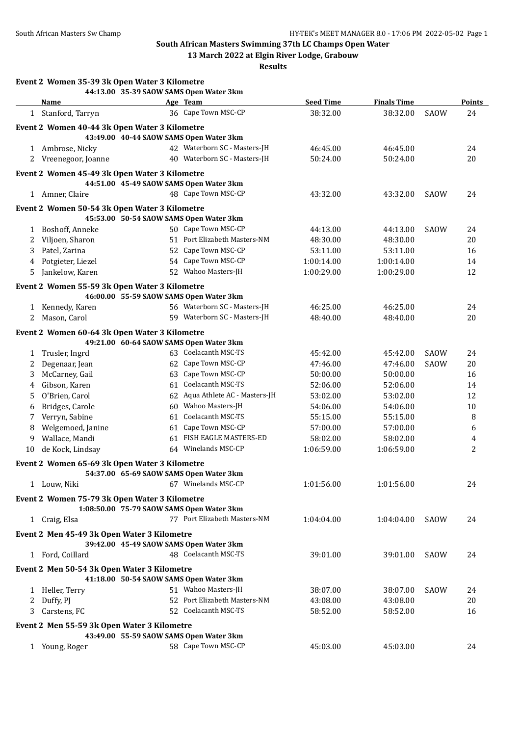**South African Masters Swimming 37th LC Champs Open Water**

**13 March 2022 at Elgin River Lodge, Grabouw**

**Results**

|              | Event 2 Women 35-39 3k Open Water 3 Kilometre |    |                                                                           |                  |                    |      |               |
|--------------|-----------------------------------------------|----|---------------------------------------------------------------------------|------------------|--------------------|------|---------------|
|              | <b>Name</b>                                   |    | 44:13.00 35-39 SAOW SAMS Open Water 3km<br>Age Team                       | <b>Seed Time</b> | <b>Finals Time</b> |      | <b>Points</b> |
|              | 1 Stanford, Tarryn                            |    | 36 Cape Town MSC-CP                                                       | 38:32.00         | 38:32.00           | SAOW | 24            |
|              |                                               |    |                                                                           |                  |                    |      |               |
|              | Event 2 Women 40-44 3k Open Water 3 Kilometre |    |                                                                           |                  |                    |      |               |
|              |                                               |    | 43:49.00 40-44 SAOW SAMS Open Water 3km                                   |                  |                    |      |               |
|              | 1 Ambrose, Nicky                              |    | 42 Waterborn SC - Masters-JH                                              | 46:45.00         | 46:45.00           |      | 24            |
|              | 2 Vreenegoor, Joanne                          |    | 40 Waterborn SC - Masters-JH                                              | 50:24.00         | 50:24.00           |      | 20            |
|              | Event 2 Women 45-49 3k Open Water 3 Kilometre |    |                                                                           |                  |                    |      |               |
|              |                                               |    | 44:51.00 45-49 SAOW SAMS Open Water 3km                                   |                  |                    |      |               |
|              | 1 Amner, Claire                               |    | 48 Cape Town MSC-CP                                                       | 43:32.00         | 43:32.00           | SAOW | 24            |
|              | Event 2 Women 50-54 3k Open Water 3 Kilometre |    |                                                                           |                  |                    |      |               |
|              |                                               |    | 45:53.00 50-54 SAOW SAMS Open Water 3km                                   |                  |                    |      |               |
| $\mathbf{1}$ | Boshoff, Anneke                               |    | 50 Cape Town MSC-CP                                                       | 44:13.00         | 44:13.00           | SAOW | 24            |
| 2            | Viljoen, Sharon                               |    | 51 Port Elizabeth Masters-NM                                              | 48:30.00         | 48:30.00           |      | 20            |
| 3            | Patel, Zarina                                 |    | 52 Cape Town MSC-CP                                                       | 53:11.00         | 53:11.00           |      | 16            |
| 4            | Potgieter, Liezel                             |    | 54 Cape Town MSC-CP                                                       | 1:00:14.00       | 1:00:14.00         |      | 14            |
| 5            | Jankelow, Karen                               |    | 52 Wahoo Masters-JH                                                       | 1:00:29.00       | 1:00:29.00         |      | 12            |
|              |                                               |    |                                                                           |                  |                    |      |               |
|              | Event 2 Women 55-59 3k Open Water 3 Kilometre |    | 46:00.00 55-59 SAOW SAMS Open Water 3km                                   |                  |                    |      |               |
| 1            | Kennedy, Karen                                |    | 56 Waterborn SC - Masters-JH                                              | 46:25.00         | 46:25.00           |      | 24            |
| 2            | Mason, Carol                                  |    | 59 Waterborn SC - Masters-JH                                              | 48:40.00         | 48:40.00           |      | 20            |
|              |                                               |    |                                                                           |                  |                    |      |               |
|              | Event 2 Women 60-64 3k Open Water 3 Kilometre |    |                                                                           |                  |                    |      |               |
|              |                                               |    | 49:21.00 60-64 SAOW SAMS Open Water 3km                                   |                  |                    |      |               |
| $\mathbf{1}$ | Trusler, Ingrd                                |    | 63 Coelacanth MSC-TS                                                      | 45:42.00         | 45:42.00           | SAOW | 24            |
| 2            | Degenaar, Jean                                |    | 62 Cape Town MSC-CP                                                       | 47:46.00         | 47:46.00           | SAOW | 20            |
| 3            | McCarney, Gail                                |    | 63 Cape Town MSC-CP                                                       | 50:00.00         | 50:00.00           |      | 16            |
| 4            | Gibson, Karen                                 |    | 61 Coelacanth MSC-TS                                                      | 52:06.00         | 52:06.00           |      | 14            |
| 5            | O'Brien, Carol                                |    | 62 Aqua Athlete AC - Masters-JH                                           | 53:02.00         | 53:02.00           |      | 12            |
| 6            | Bridges, Carole                               | 60 | Wahoo Masters-JH                                                          | 54:06.00         | 54:06.00           |      | 10            |
| 7            | Verryn, Sabine                                | 61 | Coelacanth MSC-TS                                                         | 55:15.00         | 55:15.00           |      | 8             |
| 8            | Welgemoed, Janine                             |    | 61 Cape Town MSC-CP                                                       | 57:00.00         | 57:00.00           |      | 6             |
| 9            | Wallace, Mandi                                | 61 | FISH EAGLE MASTERS-ED                                                     | 58:02.00         | 58:02.00           |      | 4             |
| 10           | de Kock, Lindsay                              |    | 64 Winelands MSC-CP                                                       | 1:06:59.00       | 1:06:59.00         |      | 2             |
|              | Event 2 Women 65-69 3k Open Water 3 Kilometre |    |                                                                           |                  |                    |      |               |
|              |                                               |    | 54:37.00 65-69 SAOW SAMS Open Water 3km                                   |                  |                    |      |               |
|              | 1 Louw, Niki                                  |    | 67 Winelands MSC-CP                                                       | 1:01:56.00       | 1:01:56.00         |      | 24            |
|              |                                               |    |                                                                           |                  |                    |      |               |
|              | Event 2 Women 75-79 3k Open Water 3 Kilometre |    |                                                                           |                  |                    |      |               |
|              |                                               |    | 1:08:50.00 75-79 SAOW SAMS Open Water 3km<br>77 Port Elizabeth Masters-NM |                  |                    |      |               |
|              | 1 Craig, Elsa                                 |    |                                                                           | 1:04:04.00       | 1:04:04.00         | SAOW | 24            |
|              | Event 2 Men 45-49 3k Open Water 3 Kilometre   |    |                                                                           |                  |                    |      |               |
|              |                                               |    | 39:42.00 45-49 SAOW SAMS Open Water 3km                                   |                  |                    |      |               |
|              | 1 Ford, Coillard                              |    | 48 Coelacanth MSC-TS                                                      | 39:01.00         | 39:01.00           | SAOW | 24            |
|              | Event 2 Men 50-54 3k Open Water 3 Kilometre   |    |                                                                           |                  |                    |      |               |
|              |                                               |    | 41:18.00 50-54 SAOW SAMS Open Water 3km                                   |                  |                    |      |               |
|              | 1 Heller, Terry                               |    | 51 Wahoo Masters-JH                                                       | 38:07.00         | 38:07.00           | SAOW | 24            |
|              | 2 Duffy, PJ                                   |    | 52 Port Elizabeth Masters-NM                                              | 43:08.00         | 43:08.00           |      | 20            |
|              | 3 Carstens, FC                                |    | 52 Coelacanth MSC-TS                                                      | 58:52.00         | 58:52.00           |      | 16            |
|              | Event 2 Men 55-59 3k Open Water 3 Kilometre   |    |                                                                           |                  |                    |      |               |
|              |                                               |    | 43:49.00 55-59 SAOW SAMS Open Water 3km                                   |                  |                    |      |               |
|              | 1 Young, Roger                                |    | 58 Cape Town MSC-CP                                                       | 45:03.00         | 45:03.00           |      | 24            |